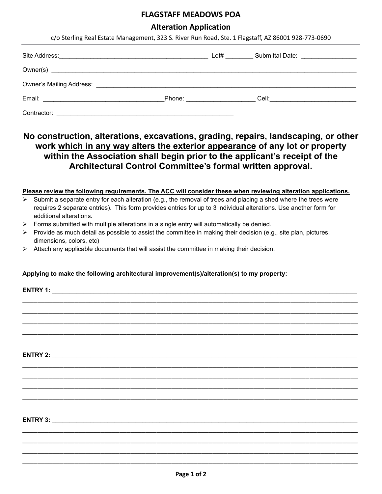# **FLAGSTAFF MEADOWS POA**

| <b>Alteration Application</b><br>c/o Sterling Real Estate Management, 323 S. River Run Road, Ste. 1 Flagstaff, AZ 86001 928-773-0690 |                                                                                                                                                                                                                                                                                                                                                                                                                                                                               |  |                                                                                                               |  |
|--------------------------------------------------------------------------------------------------------------------------------------|-------------------------------------------------------------------------------------------------------------------------------------------------------------------------------------------------------------------------------------------------------------------------------------------------------------------------------------------------------------------------------------------------------------------------------------------------------------------------------|--|---------------------------------------------------------------------------------------------------------------|--|
|                                                                                                                                      |                                                                                                                                                                                                                                                                                                                                                                                                                                                                               |  |                                                                                                               |  |
|                                                                                                                                      |                                                                                                                                                                                                                                                                                                                                                                                                                                                                               |  |                                                                                                               |  |
|                                                                                                                                      |                                                                                                                                                                                                                                                                                                                                                                                                                                                                               |  |                                                                                                               |  |
|                                                                                                                                      |                                                                                                                                                                                                                                                                                                                                                                                                                                                                               |  |                                                                                                               |  |
|                                                                                                                                      |                                                                                                                                                                                                                                                                                                                                                                                                                                                                               |  |                                                                                                               |  |
| additional alterations.<br>≻                                                                                                         | within the Association shall begin prior to the applicant's receipt of the<br>Architectural Control Committee's formal written approval.<br>Submit a separate entry for each alteration (e.g., the removal of trees and placing a shed where the trees were<br>requires 2 separate entries). This form provides entries for up to 3 individual alterations. Use another form for<br>Forms submitted with multiple alterations in a single entry will automatically be denied. |  | Please review the following requirements. The ACC will consider these when reviewing alteration applications. |  |
| ➤<br>dimensions, colors, etc)<br>➤                                                                                                   | Provide as much detail as possible to assist the committee in making their decision (e.g., site plan, pictures,<br>Attach any applicable documents that will assist the committee in making their decision.                                                                                                                                                                                                                                                                   |  |                                                                                                               |  |
|                                                                                                                                      | Applying to make the following architectural improvement(s)/alteration(s) to my property:                                                                                                                                                                                                                                                                                                                                                                                     |  |                                                                                                               |  |
|                                                                                                                                      |                                                                                                                                                                                                                                                                                                                                                                                                                                                                               |  |                                                                                                               |  |
| <b>ENTRY 2:</b>                                                                                                                      |                                                                                                                                                                                                                                                                                                                                                                                                                                                                               |  |                                                                                                               |  |
|                                                                                                                                      |                                                                                                                                                                                                                                                                                                                                                                                                                                                                               |  |                                                                                                               |  |

**ENTRY 3:** \_\_\_\_\_\_\_\_\_\_\_\_\_\_\_\_\_\_\_\_\_\_\_\_\_\_\_\_\_\_\_\_\_\_\_\_\_\_\_\_\_\_\_\_\_\_\_\_\_\_\_\_\_\_\_\_\_\_\_\_\_\_\_\_\_\_\_\_\_\_\_\_\_\_\_\_\_\_\_\_\_\_\_\_\_\_\_\_

\_\_\_\_\_\_\_\_\_\_\_\_\_\_\_\_\_\_\_\_\_\_\_\_\_\_\_\_\_\_\_\_\_\_\_\_\_\_\_\_\_\_\_\_\_\_\_\_\_\_\_\_\_\_\_\_\_\_\_\_\_\_\_\_\_\_\_\_\_\_\_\_\_\_\_\_\_\_\_\_\_\_\_\_\_\_\_\_\_\_ \_\_\_\_\_\_\_\_\_\_\_\_\_\_\_\_\_\_\_\_\_\_\_\_\_\_\_\_\_\_\_\_\_\_\_\_\_\_\_\_\_\_\_\_\_\_\_\_\_\_\_\_\_\_\_\_\_\_\_\_\_\_\_\_\_\_\_\_\_\_\_\_\_\_\_\_\_\_\_\_\_\_\_\_\_\_\_\_\_\_ \_\_\_\_\_\_\_\_\_\_\_\_\_\_\_\_\_\_\_\_\_\_\_\_\_\_\_\_\_\_\_\_\_\_\_\_\_\_\_\_\_\_\_\_\_\_\_\_\_\_\_\_\_\_\_\_\_\_\_\_\_\_\_\_\_\_\_\_\_\_\_\_\_\_\_\_\_\_\_\_\_\_\_\_\_\_\_\_\_\_ \_\_\_\_\_\_\_\_\_\_\_\_\_\_\_\_\_\_\_\_\_\_\_\_\_\_\_\_\_\_\_\_\_\_\_\_\_\_\_\_\_\_\_\_\_\_\_\_\_\_\_\_\_\_\_\_\_\_\_\_\_\_\_\_\_\_\_\_\_\_\_\_\_\_\_\_\_\_\_\_\_\_\_\_\_\_\_\_\_\_